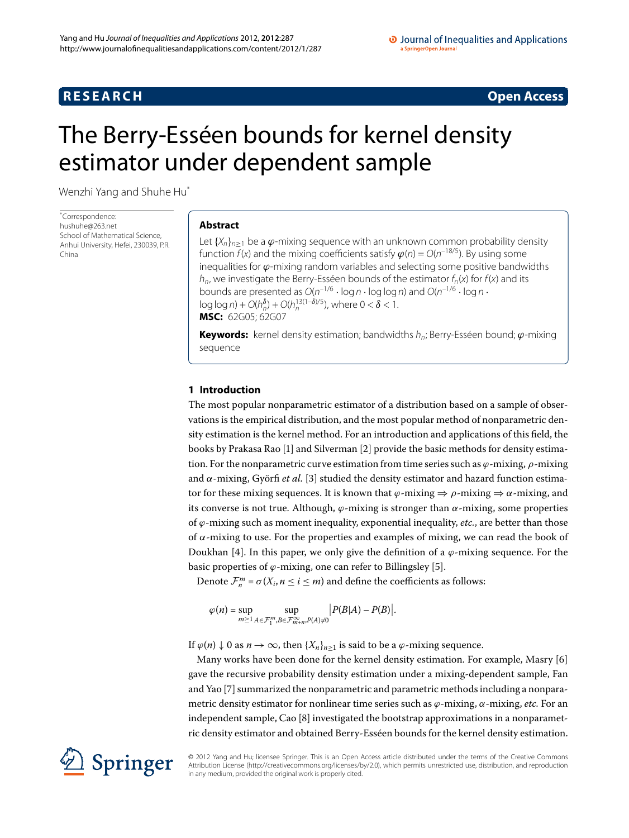# **RESEARCH CONSTRUCTER ACCESS**

# <span id="page-0-0"></span>The Berry-Esséen bounds for kernel density estimator under dependent sample

Wenzhi Yang and Shuhe H[u\\*](#page-0-0)

\* Correspondence: [hushuhe@263.net](mailto:hushuhe@263.net) School of Mathematical Science Anhui University, Hefei, 230039, P.R. China

# **Abstract**

Let  $\{X_n\}_{n\geq 1}$  be a  $\varphi$ -mixing sequence with an unknown common probability density function  $f(x)$  and the mixing coefficients satisfy  $\varphi(n) = O(n^{-18/5})$ . By using some inequalities for *ϕ*-mixing random variables and selecting some positive bandwidths  $h_n$ , we investigate the Berry-Esséen bounds of the estimator  $f_n(x)$  for  $f(x)$  and its bounds are presented as  $O(n^{-1/6} \cdot \log n \cdot \log \log n)$  and  $O(n^{-1/6} \cdot \log n \cdot \log \log n)$  $\log \log n$ ) +  $O(h_n^{\delta})$  +  $O(h_n^{13(1-\delta)/5})$ , where  $0 < \delta < 1$ . **MSC:** 62G05; 62G07

**Keywords:** kernel density estimation; bandwidths h<sub>n</sub>; Berry-Esséen bound; *φ*-mixing sequence

# **1 Introduction**

The most popular nonparametric estimator of a distribution based on a sample of observations is the empirical distribution, and the most popular method of nonparametric density estimation is the kernel method. For an introduction and applications of this field, the books by Prakasa Rao [\[](#page-11-0)1[\]](#page-11-1) and Silverman [2] provide the basic methods for density estimation. For the nonparametric curve estimation from time series such as *ϕ*-mixing, *ρ*-mixing and  $\alpha$ -mixing, Györfi *et al.* [\[](#page-11-2)3] studied the density estimator and hazard function estimator for these mixing sequences. It is known that  $\varphi$ -mixing  $\Rightarrow \rho$ -mixing  $\Rightarrow \alpha$ -mixing, and its converse is not true. Although,  $\varphi$ -mixing is stronger than  $\alpha$ -mixing, some properties of *ϕ*-mixing such as moment inequality, exponential inequality, *etc.*, are better than those of  $α$ -mixing to use. For the properties and examples of mixing, we can read the book of Doukhan [4]. In this paper, we only give the definition of a  $\varphi$ -mixing sequence. For the basic properties of  $\varphi$ -mixing, one can refer to Billingsley [5].

Denote  $\mathcal{F}_n^m = \sigma(X_i, n \leq i \leq m)$  and define the coefficients as follows:

$$
\varphi(n) = \sup_{m \ge 1} \sup_{A \in \mathcal{F}_1^m, B \in \mathcal{F}_{m+n}^\infty, P(A) \ne 0} \left| P(B|A) - P(B) \right|.
$$

If  $\varphi$ (*n*) ↓ 0 as *n* → ∞, then {*X<sub>n</sub>*}<sub>*n*≥1</sub> is said to be a  $\varphi$ -mixing sequence.

Many works have been done for the kernel density estimation. For example, Masry [6] gave the recursive probability density estimation under a mixing-dependent sample, Fan and Yao [[\]](#page-12-1) summarized the nonparametric and parametric methods including a nonparametric density estimator for nonlinear time series such as *ϕ*-mixing, *α*-mixing, *etc.* For an independent sample, Cao [8[\]](#page-12-2) investigated the bootstrap approximations in a nonparametric density estimator and obtained Berry-Esséen bounds for the kernel density estimation.



© 2012 Yang and Hu; licensee Springer. This is an Open Access article distributed under the terms of the Creative Commons Attribution License [\(http://creativecommons.org/licenses/by/2.0](http://creativecommons.org/licenses/by/2.0)), which permits unrestricted use, distribution, and reproduction in any medium, provided the original work is properly cited.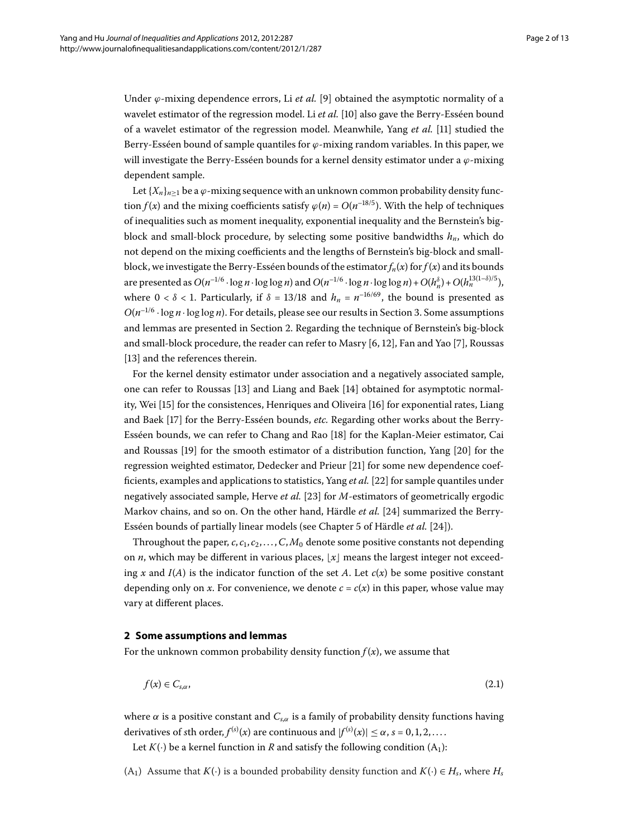Under  $\varphi$ -mixing dependence errors, Li *et al.* [9] obtained the asymptotic normality of a wavelet estimator of the regression model. Li *et al.* [\[](#page-12-4)10] also gave the Berry-Esséen bound of a wavelet estimator of the regression model. Meanwhile, Yang et al. [11] studied the Berry-Esséen bound of sample quantiles for *ϕ*-mixing random variables. In this paper, we will investigate the Berry-Esséen bounds for a kernel density estimator under a *ϕ*-mixing dependent sample.

Let  ${X_n}_{n>1}$  be a  $\varphi$ -mixing sequence with an unknown common probability density function *f*(*x*) and the mixing coefficients satisfy  $\varphi(n) = O(n^{-18/5})$ . With the help of techniques of inequalities such as moment inequality, exponential inequality and the Bernstein's bigblock and small-block procedure, by selecting some positive bandwidths  $h_n$ , which do not depend on the mixing coefficients and the lengths of Bernstein's big-block and smallblock, we investigate the Berry-Esséen bounds of the estimator  $f_n(x)$  for  $f(x)$  and its bounds are presented as  $O(n^{-1/6} \cdot \log n \cdot \log \log n)$  and  $O(n^{-1/6} \cdot \log n \cdot \log \log n) + O(h_n^{\delta}) + O(h_n^{13(1-\delta)/5})$ , where  $0 < \delta < 1$ . Particularly, if  $\delta = 13/18$  and  $h_n = n^{-16/69}$ , the bound is presented as  $O(n^{-1/6} \cdot \log n \cdot \log \log n)$ . For details, please see our results in Section 3. Some assumptions and lemmas are presented in Section 2. Regarding the technique of Bernstein's big-block and small-block procedure, the reader can refer to Masry  $[6, 12]$  $[6, 12]$  $[6, 12]$ , Fan and Yao  $[7]$ , Roussas [13[\]](#page-12-7) and the references therein.

For the kernel density estimator under association and a negatively associated sample, one can refer to Roussas [13[\]](#page-12-8) and Liang and Baek [14] obtained for asymptotic normal-ity, Wei [\[](#page-12-10)15] for the consistences, Henriques and Oliveira [16] for exponential rates, Liang and Baek [17[\]](#page-12-11) for the Berry-Esséen bounds, *etc.* Regarding other works about the Berry-Esséen bounds, we can refer to Chang and Rao [\[](#page-12-12)] for the Kaplan-Meier estimator, Cai and Roussas  $[19]$  $[19]$  for the smooth estimator of a distribution function, Yang  $[20]$  for the regression weighted estimator, Dedecker and Prieur [21[\]](#page-12-15) for some new dependence coefficients, examples and applications to statistics, Yang *et al.* [22] for sample quantiles under negatively associated sample, Herve *et al.* [\[](#page-12-17)23] for *M*-estimators of geometrically ergodic Markov chains, and so on. On the other hand, Härdle *et al.* [24[\]](#page-12-18) summarized the Berry-Esséen bounds of partially linear models (see Chapter 5 of Härdle et al. [24]).

<span id="page-1-0"></span>Throughout the paper,  $c, c_1, c_2, \ldots, C, M_0$  denote some positive constants not depending on *n*, which may be different in various places,  $\lfloor x \rfloor$  means the largest integer not exceeding *x* and  $I(A)$  is the indicator function of the set *A*. Let  $c(x)$  be some positive constant depending only on *x*. For convenience, we denote  $c = c(x)$  in this paper, whose value may vary at different places.

### **2 Some assumptions and lemmas**

For the unknown common probability density function  $f(x)$ , we assume that

<span id="page-1-1"></span>
$$
f(x) \in C_{s,\alpha},\tag{2.1}
$$

where  $\alpha$  is a positive constant and  $C_{s,\alpha}$  is a family of probability density functions having derivatives of *s*th order,  $f^{(s)}(x)$  are continuous and  $|f^{(s)}(x)| \leq \alpha$ ,  $s = 0, 1, 2, \ldots$ .

Let  $K(\cdot)$  be a kernel function in *R* and satisfy the following condition  $(A_1)$ :

(A<sub>1</sub>) Assume that *K*(·) is a bounded probability density function and *K*(·)  $\in$  *H<sub>s</sub>*, where *H<sub>s</sub>*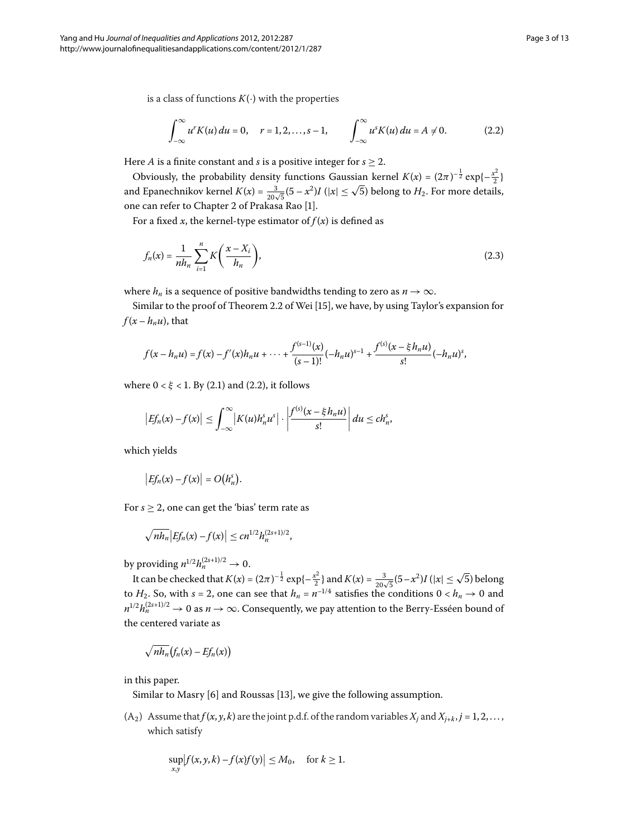is a class of functions  $K(\cdot)$  with the properties

<span id="page-2-0"></span>
$$
\int_{-\infty}^{\infty} u^{r} K(u) du = 0, \quad r = 1, 2, ..., s - 1, \qquad \int_{-\infty}^{\infty} u^{s} K(u) du = A \neq 0.
$$
 (2.2)

Here *A* is a finite constant and *s* is a positive integer for  $s > 2$ .

Obviously, the probability density functions Gaussian kernel  $K(x) = (2\pi)^{-\frac{1}{2}} \exp\{-\frac{x^2}{2}\}$ and Epanechnikov kernel  $K(x) = \frac{3}{20\sqrt{5}}(5-x^2)I(|x| \le \sqrt{5})$  belong to  $H_2$ . For more details, one can refer to Chapter 2 of Prakasa Rao [1[\]](#page-11-0).

For a fixed *x*, the kernel-type estimator of  $f(x)$  is defined as

$$
f_n(x) = \frac{1}{nh_n} \sum_{i=1}^n K\left(\frac{x - X_i}{h_n}\right),\tag{2.3}
$$

where  $h_n$  is a sequence of positive bandwidths tending to zero as  $n \to \infty$ .

Similar to the proof of Theorem 2.2 of Wei [\[](#page-12-9)15], we have, by using Taylor's expansion for  $f(x - h_n u)$ , that

$$
f(x - h_n u) = f(x) - f'(x)h_n u + \dots + \frac{f^{(s-1)}(x)}{(s-1)!}(-h_n u)^{s-1} + \frac{f^{(s)}(x - \xi h_n u)}{s!}(-h_n u)^s,
$$

where  $0 < \xi < 1$ [.](#page-1-1) By (2.1) and (2.2), it follows

$$
\left|Ef_n(x)-f(x)\right|\leq \int_{-\infty}^{\infty}\left|K(u)h_n^su^s\right|\cdot\left|\frac{f^{(s)}(x-\xi h_n u)}{s!}\right|du\leq ch_n^s,
$$

which yields

$$
\big|Ef_n(x)-f(x)\big|=O(h_n^s).
$$

For  $s \geq 2$ , one can get the 'bias' term rate as

$$
\sqrt{nh_n} \big| Ef_n(x) - f(x) \big| \leq c n^{1/2} h_n^{(2s+1)/2},
$$

by providing  $n^{1/2} h_n^{(2s+1)/2} \to 0$ .

It can be checked that  $K(x) = (2\pi)^{-\frac{1}{2}} \exp\{-\frac{x^2}{2}\}\$  and  $K(x) = \frac{3}{20\sqrt{5}}(5-x^2)I(|x| \le \sqrt{5})$  belong to  $H_2$ . So, with  $s = 2$ , one can see that  $h_n = n^{-1/4}$  satisfies the conditions  $0 < h_n \to 0$  and  $n^{1/2}h_n^{(2s+1)/2} \to 0$  as  $n \to \infty$ . Consequently, we pay attention to the Berry-Esséen bound of the centered variate as

$$
\sqrt{nh_n}\big(f_n(x)-Ef_n(x)\big)
$$

in this paper.

Similar to Masry  $[6]$  $[6]$  and Roussas  $[13]$ , we give the following assumption.

 $(A_2)$  Assume that  $f(x, y, k)$  are the joint p.d.f. of the random variables  $X_j$  and  $X_{j+k}, j = 1, 2, \ldots$ , which satisfy

$$
\sup_{x,y} |f(x,y,k) - f(x)f(y)| \le M_0, \quad \text{for } k \ge 1.
$$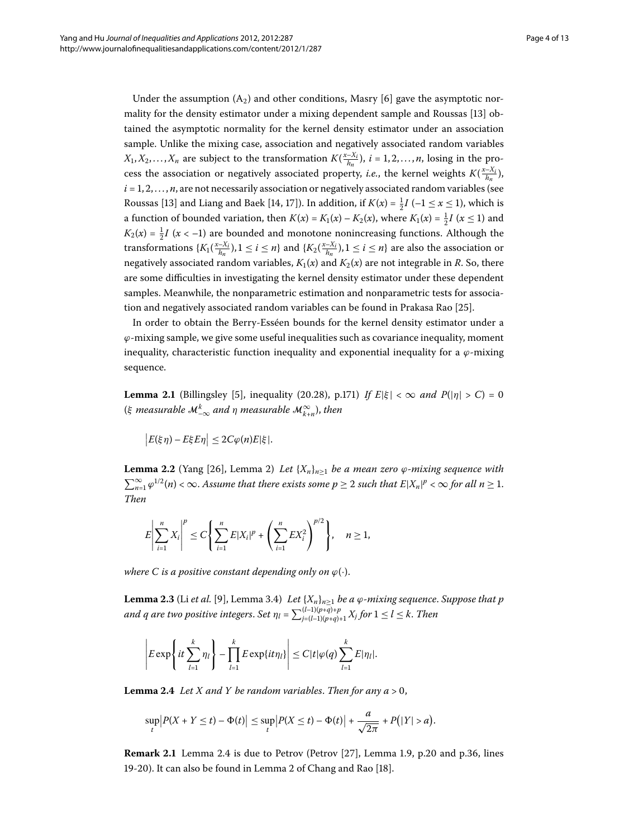Under the assumption  $(A_2)$  and other conditions, Masry [6] gave the asymptotic nor-mality for the density estimator under a mixing dependent sample and Roussas [\[](#page-12-7)13] obtained the asymptotic normality for the kernel density estimator under an association sample. Unlike the mixing case, association and negatively associated random variables  $X_1, X_2, \ldots, X_n$  are subject to the transformation  $K(\frac{x-X_i}{h_n})$ ,  $i = 1, 2, \ldots, n$ , losing in the process the association or negatively associated property, *i.e.*, the kernel weights  $K(\frac{x-X_i}{h_n})$ ,  $i = 1, 2, \ldots, n$ , are not necessarily association or negatively associated random variables (see Roussas [13[\]](#page-12-7) and Liang and Baek [14[,](#page-12-8) 17]). In addition, if  $K(x) = \frac{1}{2}I$  ( $-1 \le x \le 1$ ), which is a function of bounded variation, then  $K(x) = K_1(x) - K_2(x)$ , where  $K_1(x) = \frac{1}{2}I$   $(x \le 1)$  and  $K_2(x) = \frac{1}{2}I(x < -1)$  are bounded and monotone nonincreasing functions. Although the transformations  $\{K_1(\frac{x-X_i}{h_n}), 1 \le i \le n\}$  and  $\{K_2(\frac{x-X_i}{h_n}), 1 \le i \le n\}$  are also the association or negatively associated random variables,  $K_1(x)$  and  $K_2(x)$  are not integrable in *R*. So, there are some difficulties in investigating the kernel density estimator under these dependent samples. Meanwhile, the nonparametric estimation and nonparametric tests for associa-tion and negatively associated random variables can be found in Prakasa Rao [\[](#page-12-19)25].

<span id="page-3-2"></span>In order to obtain the Berry-Esséen bounds for the kernel density estimator under a *ϕ*-mixing sample, we give some useful inequalities such as covariance inequality, moment inequality, characteristic function inequality and exponential inequality for a  $\varphi$ -mixing sequence.

<span id="page-3-1"></span>**Lemma 2.1** (Billingsley [\[](#page-11-4)5], inequality (20.28), p.171) *If E*| $\xi$ | <  $\infty$  *and P*(| $\eta$ | > *C*) = 0 (*ξ measurable* M*<sup>k</sup>* –<sup>∞</sup> *and η measurable* M<sup>∞</sup> *<sup>k</sup>*+*<sup>n</sup>*), *then*

$$
\big|E(\xi\eta)-E\xi E\eta\big|\leq 2C\varphi(n)E|\xi|.
$$

**Lemma 2.2** (Yang [26], Lemma 2) *Let*  $\{X_n\}_{n>1}$  *be a mean zero*  $\varphi$ *-mixing sequence with*  $\sum_{n=1}^{\infty} \varphi^{1/2}(n) < \infty$ . Assume that there exists some  $p \ge 2$  such that  $E|X_n|^p < \infty$  for all  $n \ge 1$ . *Then*

<span id="page-3-3"></span>
$$
E\left|\sum_{i=1}^n X_i\right|^p \le C\left\{\sum_{i=1}^n E|X_i|^p + \left(\sum_{i=1}^n E X_i^2\right)^{p/2}\right\}, \quad n \ge 1,
$$

*where C is a positive constant depending only on*  $\varphi(\cdot)$ .

<span id="page-3-0"></span> $\bf{Lemma~2.3}$  (Li  $et$  al. [9], Lemma 3.4)  $\,$  *Let*  $\{X_n\}_{n\geq 1}$   $be$  a  $\varphi$ -mixing sequence. Suppose that  $p$ and q are two positive integers. Set  $\eta_l$  =  $\sum_{j=(l-1)(p+q)+1}^{(l-1)(p+q)+p} X_j$  for  $1 \leq l \leq k.$  Then

$$
\left|E\exp\left\{it\sum_{l=1}^k\eta_l\right\}-\prod_{l=1}^kE\exp\{it\eta_l\}\right|\leq C|t|\varphi(q)\sum_{l=1}^kE|\eta_l|.
$$

**Lemma 2.4** Let X and Y be random variables. Then for any  $a > 0$ ,

$$
\sup_{t}|P(X+Y\leq t)-\Phi(t)|\leq \sup_{t}|P(X\leq t)-\Phi(t)|+\frac{a}{\sqrt{2\pi}}+P(|Y|>a).
$$

**Remark 2[.](#page-3-0)1** Lemma 2.4 is due to Petrov (Petrov [\[](#page-12-21)27], Lemma 1.9, p.20 and p.36, lines 19-20). It can also be found in Lemma 2 of Chang and Rao  $[18]$ .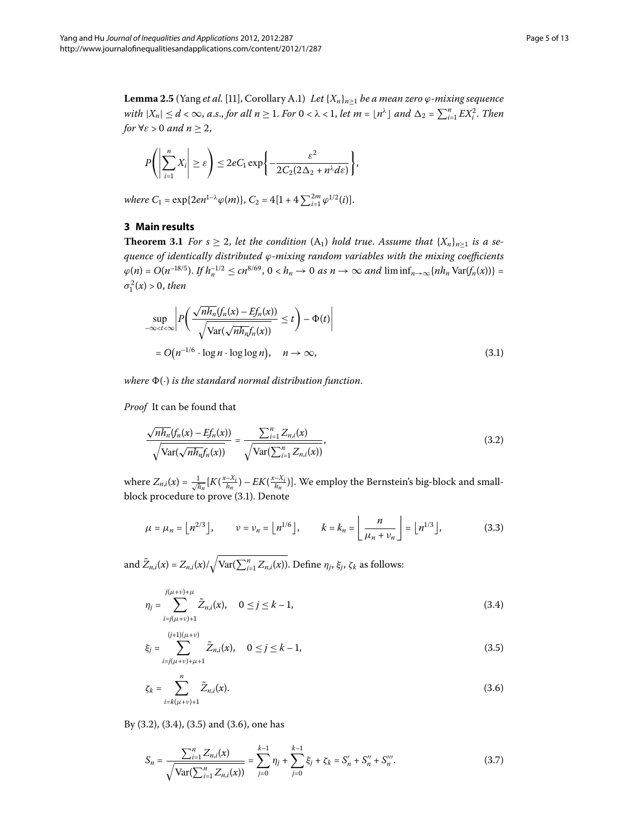<span id="page-4-8"></span><span id="page-4-0"></span>**Lemma 2.5** (Yang *et al.* [11], Corollary A.1) *Let*  $\{X_n\}_{n\geq1}$  *be a mean zero*  $\varphi$ *-mixing sequence with*  $|X_n| \leq d < \infty$ , *a.s., for all n*  $\geq 1$ *. For*  $0 < \lambda < 1$ *, let m* =  $\lfloor n^{\lambda} \rfloor$  *and*  $\Delta_2 = \sum_{i=1}^{n} EX_i^2$ *. Then for*  $\forall \varepsilon > 0$  *and*  $n \geq 2$ ,

<span id="page-4-9"></span>
$$
P\left(\left|\sum_{i=1}^n X_i\right| \geq \varepsilon\right) \leq 2eC_1 \exp\left\{-\frac{\varepsilon^2}{2C_2(2\Delta_2 + n^{\lambda}d\varepsilon)}\right\},\,
$$

*where*  $C_1 = \exp\{2en^{1-\lambda}\varphi(m)\}, C_2 = 4[1 + 4\sum_{i=1}^{2m}\varphi^{1/2}(i)].$ 

# <span id="page-4-1"></span>**3 Main results**

**Theorem 3.1** For  $s \geq 2$ , let the condition  $(A_1)$  hold true. Assume that  $\{X_n\}_{n\geq 1}$  is a se*quence of identically distributed ϕ-mixing random variables with the mixing coefficients*  $\varphi(n) = O(n^{-18/5})$ . *If*  $h_n^{-1/2} \le cn^{8/69}$ ,  $0 < h_n \to 0$  as  $n \to \infty$  and  $\liminf_{n \to \infty} \{nh_n \text{Var}(f_n(x))\}$  $\sigma_1^2(x) > 0$ , *then* 

<span id="page-4-2"></span>
$$
\sup_{-\infty < t < \infty} \left| P\left( \frac{\sqrt{n h_n} (f_n(x) - Ef_n(x))}{\sqrt{\text{Var}(\sqrt{n h_n} f_n(x))}} \le t \right) - \Phi(t) \right|
$$
  
=  $O(n^{-1/6} \cdot \log n \cdot \log \log n), \quad n \to \infty,$  (3.1)

*where* (·) *is the standard normal distribution function*.

*Proof* It can be found that

<span id="page-4-7"></span>
$$
\frac{\sqrt{nh_n}(f_n(x) - Ef_n(x))}{\sqrt{\text{Var}(\sqrt{nh_n}f_n(x))}} = \frac{\sum_{i=1}^n Z_{n,i}(x)}{\sqrt{\text{Var}(\sum_{i=1}^n Z_{n,i}(x))}},
$$
\n(3.2)

<span id="page-4-3"></span>where  $Z_{n,i}(x) = \frac{1}{\sqrt{h_n}} [K(\frac{x-X_i}{h_n}) - EK(\frac{x-X_i}{h_n})]$ . We employ the Bernstein's big-block and smallblock procedure to prove (3.1). Denote

$$
\mu = \mu_n = \lfloor n^{2/3} \rfloor, \qquad \nu = \nu_n = \lfloor n^{1/6} \rfloor, \qquad k = k_n = \left\lfloor \frac{n}{\mu_n + \nu_n} \right\rfloor = \lfloor n^{1/3} \rfloor, \tag{3.3}
$$

<span id="page-4-5"></span><span id="page-4-4"></span>and  $\tilde{Z}_{n,i}(x) = Z_{n,i}(x) / \sqrt{\text{Var}(\sum_{i=1}^{n} Z_{n,i}(x))}$ . Define  $\eta_j$ ,  $\xi_j$ ,  $\zeta_k$  as follows:

$$
\eta_j = \sum_{i=j(\mu+\nu)+1}^{j(\mu+\nu)+\mu} \tilde{Z}_{n,i}(x), \quad 0 \le j \le k-1,
$$
\n(3.4)

$$
\xi_j = \sum_{i=j(\mu+\nu)+\mu+1}^{(j+1)(\mu+\nu)} \tilde{Z}_{n,i}(x), \quad 0 \le j \le k-1,
$$
\n(3.5)

<span id="page-4-6"></span>
$$
\zeta_k = \sum_{i=k(\mu+\nu)+1}^n \tilde{Z}_{n,i}(x). \tag{3.6}
$$

By  $(3.2)$  $(3.2)$  $(3.2)$ ,  $(3.4)$ ,  $(3.5)$  and  $(3.6)$ , one has

$$
S_n = \frac{\sum_{i=1}^n Z_{n,i}(x)}{\sqrt{\text{Var}(\sum_{i=1}^n Z_{n,i}(x))}} = \sum_{j=0}^{k-1} \eta_j + \sum_{j=0}^{k-1} \xi_j + \zeta_k = S'_n + S''_n + S'''_n.
$$
 (3.7)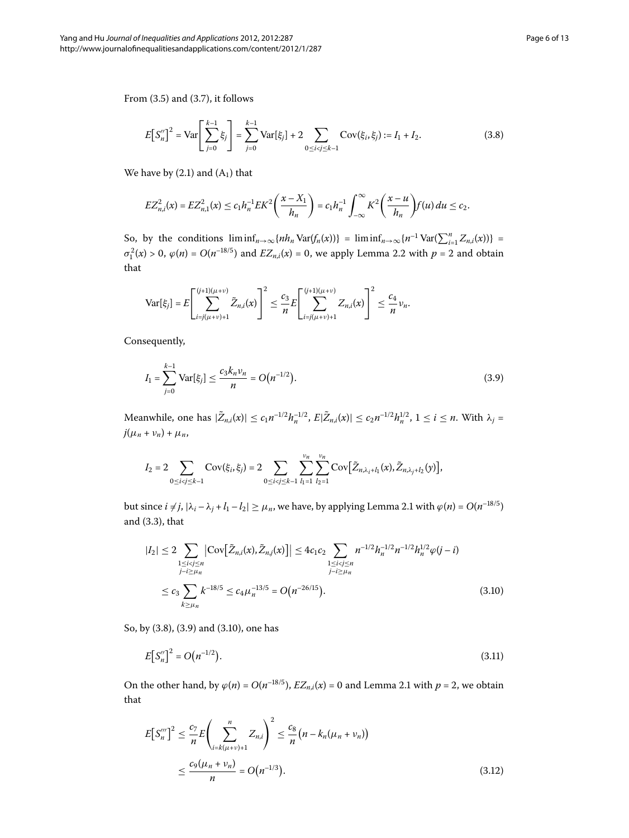From  $(3.5)$  and  $(3.7)$ , it follows

<span id="page-5-0"></span>
$$
E\left[S_n''\right]^2 = \text{Var}\left[\sum_{j=0}^{k-1} \xi_j\right] = \sum_{j=0}^{k-1} \text{Var}\left[\xi_j\right] + 2 \sum_{0 \le i < j \le k-1} \text{Cov}\left(\xi_i, \xi_j\right) := I_1 + I_2. \tag{3.8}
$$

We have by  $(2.1)$  and  $(A<sub>1</sub>)$  that

$$
EZ_{n,i}^2(x) = EZ_{n,1}^2(x) \le c_1 h_n^{-1} E K^2 \left(\frac{x - X_1}{h_n}\right) = c_1 h_n^{-1} \int_{-\infty}^{\infty} K^2 \left(\frac{x - u}{h_n}\right) f(u) du \le c_2.
$$

So, by the conditions  $\liminf_{n\to\infty} \{nh_n \text{Var}(f_n(x))\} = \liminf_{n\to\infty} \{n^{-1} \text{Var}(\sum_{i=1}^n Z_{n,i}(x))\}$  $\sigma_1^2(x) > 0$ ,  $\varphi(n) = O(n^{-18/5})$  and  $EZ_{n,i}(x) = 0$ , we apply Lemma 2[.](#page-3-1)2 with  $p = 2$  and obtain that

<span id="page-5-1"></span>
$$
\text{Var}[\xi_j] = E\left[\sum_{i=j(\mu+\nu)+1}^{(j+1)(\mu+\nu)} \tilde{Z}_{n,i}(x)\right]^2 \leq \frac{c_3}{n} E\left[\sum_{i=j(\mu+\nu)+1}^{(j+1)(\mu+\nu)} Z_{n,i}(x)\right]^2 \leq \frac{c_4}{n} \nu_n.
$$

Consequently,

$$
I_1 = \sum_{j=0}^{k-1} \text{Var}[\xi_j] \le \frac{c_3 k_n \nu_n}{n} = O\big(n^{-1/2}\big). \tag{3.9}
$$

<span id="page-5-2"></span>Meanwhile, one has  $|\tilde{Z}_{n,i}(x)| \le c_1 n^{-1/2} h_n^{-1/2}$ ,  $E|\tilde{Z}_{n,i}(x)| \le c_2 n^{-1/2} h_n^{1/2}$ ,  $1 \le i \le n$ . With  $\lambda_j =$  $j(\mu_n + \nu_n) + \mu_n$ 

$$
I_2 = 2 \sum_{0 \le i < j \le k-1} \text{Cov}(\xi_i, \xi_j) = 2 \sum_{0 \le i < j \le k-1} \sum_{l_1=1}^{\nu_n} \sum_{l_2=1}^{\nu_n} \text{Cov}[\tilde{Z}_{n, \lambda_i + l_1}(x), \tilde{Z}_{n, \lambda_j + l_2}(y)],
$$

but since  $i \neq j$ ,  $|\lambda_i - \lambda_j + l_1 - l_2| \geq \mu_n$ , we have, by applying Lemma 2[.](#page-3-2)1 with  $\varphi(n) = O(n^{-18/5})$ and  $(3.3)$ , that

<span id="page-5-3"></span>
$$
|I_{2}| \leq 2 \sum_{\substack{1 \leq i < j \leq n \\ j - i \geq \mu_{n}}} \left| \text{Cov}\left[\tilde{Z}_{n,i}(x), \tilde{Z}_{n,j}(x)\right] \right| \leq 4c_{1}c_{2} \sum_{\substack{1 \leq i < j \leq n \\ j - i \geq \mu_{n}}} n^{-1/2} h_{n}^{-1/2} n^{-1/2} h_{n}^{1/2} \varphi(j - i)
$$
\n
$$
\leq c_{3} \sum_{k \geq \mu_{n}} k^{-18/5} \leq c_{4} \mu_{n}^{-13/5} = O\left(n^{-26/15}\right). \tag{3.10}
$$

<span id="page-5-4"></span>So, by (3.8), (3.9) and (3.10), one has

$$
E[S_n']^2 = O(n^{-1/2}).
$$
\n(3.11)

On the other hand, by  $\varphi(n) = O(n^{-18/5})$ ,  $EZ_{n,i}(x) = 0$  and Lemma 2[.](#page-3-2)1 with  $p = 2$ , we obtain that

$$
E[S_n''']^2 \le \frac{c_7}{n} E\left(\sum_{i=k(\mu+\nu)+1}^n Z_{n,i}\right)^2 \le \frac{c_8}{n} \left(n - k_n(\mu_n + \nu_n)\right)
$$
  
 
$$
\le \frac{c_9(\mu_n + \nu_n)}{n} = O\left(n^{-1/3}\right).
$$
 (3.12)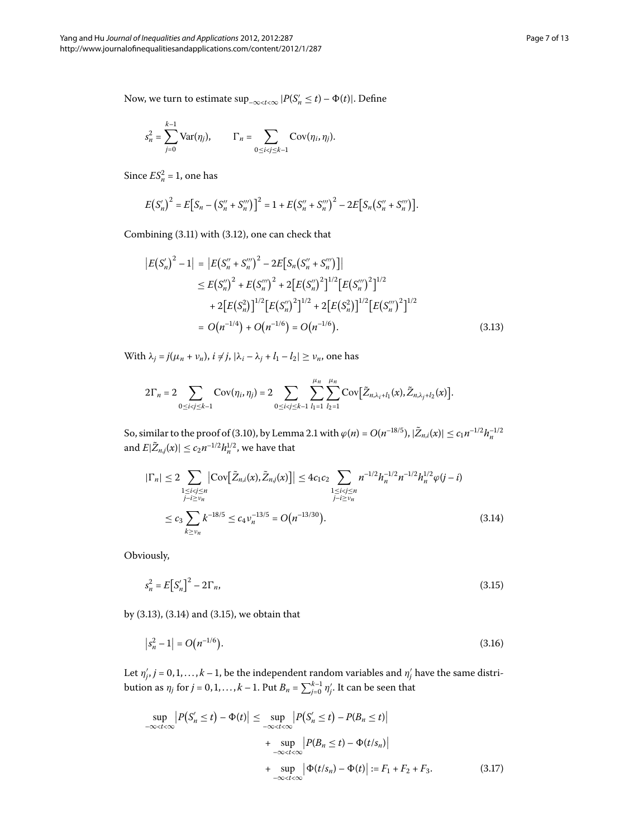Now, we turn to estimate  $\sup_{-\infty < t < \infty} |P(S'_n \le t) - \Phi(t)|$ . Define

$$
s_n^2 = \sum_{j=0}^{k-1} \text{Var}(\eta_j), \qquad \Gamma_n = \sum_{0 \le i < j \le k-1} \text{Cov}(\eta_i, \eta_j).
$$

<span id="page-6-0"></span>Since  $ES_n^2 = 1$ , one has

$$
E(S'_n)^2 = E[S_n - (S''_n + S''_n)]^2 = 1 + E(S''_n + S''_n)^2 - 2E[S_n(S''_n + S''_n)]
$$

Combining  $(3.11)$  with  $(3.12)$ , one can check that

$$
|E(S'_n)^2 - 1| = |E(S''_n + S''_n)^2 - 2E[S_n(S''_n + S''_n)]|
$$
  
\n
$$
\leq E(S''_n)^2 + E(S''_n)^2 + 2[E(S''_n)^2]^{1/2}[E(S''_n)^2]^{1/2}
$$
  
\n
$$
+ 2[E(S_n^2)]^{1/2}[E(S''_n)^2]^{1/2} + 2[E(S_n^2)]^{1/2}[E(S'''_n)^2]^{1/2}
$$
  
\n
$$
= O(n^{-1/4}) + O(n^{-1/6}) = O(n^{-1/6}).
$$
\n(3.13)

<span id="page-6-1"></span>With  $\lambda_j = j(\mu_n + \nu_n)$ ,  $i \neq j$ ,  $|\lambda_i - \lambda_j + l_1 - l_2| \geq \nu_n$ , one has

$$
2\Gamma_n=2\sum_{0\leq i
$$

So, similar to the proof of (3[.](#page-3-2)10), by Lemma 2.1 with  $\varphi(n) = O(n^{-18/5})$ ,  $|\tilde{Z}_{n,i}(x)| \le c_1 n^{-1/2} h_n^{-1/2}$ and  $E|\tilde{Z}_{n,j}(x)| \leq c_2 n^{-1/2} h_n^{1/2}$ , we have that

<span id="page-6-2"></span>
$$
|\Gamma_n| \le 2 \sum_{\substack{1 \le i < j \le n \\ j - i \ge v_n}} |\text{Cov}[\tilde{Z}_{n,i}(x), \tilde{Z}_{n,j}(x)]| \le 4c_1c_2 \sum_{\substack{1 \le i < j \le n \\ j - i \ge v_n}} n^{-1/2} h_n^{-1/2} n^{-1/2} h_n^{1/2} \varphi(j - i)
$$
\n
$$
\le c_3 \sum_{k \ge v_n} k^{-18/5} \le c_4 v_n^{-13/5} = O\big(n^{-13/30}\big). \tag{3.14}
$$

Obviously,

<span id="page-6-3"></span>
$$
s_n^2 = E\big[S_n'\big]^2 - 2\Gamma_n,\tag{3.15}
$$

<span id="page-6-4"></span>by  $(3.13)$  $(3.13)$  $(3.13)$ ,  $(3.14)$  and  $(3.15)$ , we obtain that

$$
|s_n^2 - 1| = O(n^{-1/6}).
$$
\n(3.16)

Let  $\eta'_j$ ,  $j = 0, 1, \ldots, k-1$ , be the independent random variables and  $\eta'_j$  have the same distribution as  $\eta_j$  for  $j = 0, 1, \ldots, k - 1$ . Put  $B_n = \sum_{j = 0}^{k-1} \eta_j'$ . It can be seen that

$$
\sup_{-\infty < t < \infty} |P(S'_n \le t) - \Phi(t)| \le \sup_{-\infty < t < \infty} |P(S'_n \le t) - P(B_n \le t)|
$$
  
+ 
$$
\sup_{-\infty < t < \infty} |P(B_n \le t) - \Phi(t/s_n)|
$$
  
+ 
$$
\sup_{-\infty < t < \infty} |\Phi(t/s_n) - \Phi(t)| := F_1 + F_2 + F_3.
$$
 (3.17)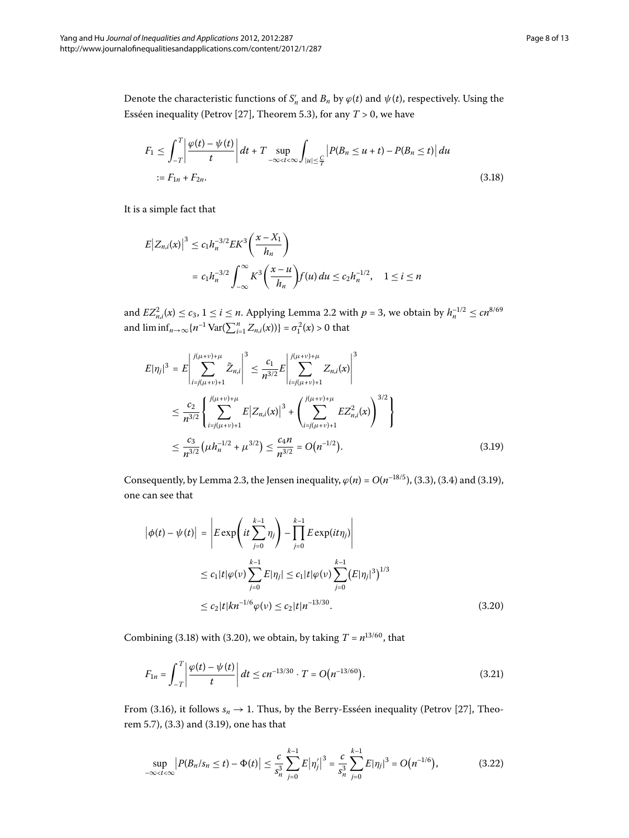<span id="page-7-1"></span>Denote the characteristic functions of  $S'_n$  and  $B_n$  by  $\varphi(t)$  and  $\psi(t)$ , respectively. Using the Esséen inequality (Petrov [27], Theorem 5.3), for any  $T > 0$ , we have

$$
F_1 \le \int_{-T}^{T} \left| \frac{\varphi(t) - \psi(t)}{t} \right| dt + T \sup_{-\infty < t < \infty} \int_{|u| \le \frac{C}{T}} \left| P(B_n \le u + t) - P(B_n \le t) \right| du
$$
  
:=  $F_{1n} + F_{2n}$ . (3.18)

It is a simple fact that

$$
E|Z_{n,i}(x)|^3 \le c_1 h_n^{-3/2} E K^3 \left(\frac{x - X_1}{h_n}\right)
$$
  
=  $c_1 h_n^{-3/2} \int_{-\infty}^{\infty} K^3 \left(\frac{x - u}{h_n}\right) f(u) du \le c_2 h_n^{-1/2}, \quad 1 \le i \le n$ 

<span id="page-7-0"></span>and  $EZ_{n,i}^2(x) \le c_3$ ,  $1 \le i \le n$ [.](#page-3-1) Applying Lemma 2.2 with  $p = 3$ , we obtain by  $h_n^{-1/2} \le cn^{8/69}$ and  $\liminf_{n \to \infty} \{ n^{-1} \text{Var}(\sum_{i=1}^{n} Z_{n,i}(x)) \} = \sigma_1^2(x) > 0$  that

$$
E|\eta_j|^3 = E\left|\sum_{i=j(\mu+\nu)+1}^{j(\mu+\nu)+\mu} \tilde{Z}_{n,i}\right|^3 \leq \frac{c_1}{n^{3/2}} E\left|\sum_{i=j(\mu+\nu)+1}^{j(\mu+\nu)+\mu} Z_{n,i}(x)\right|^3
$$
  

$$
\leq \frac{c_2}{n^{3/2}} \left\{\sum_{i=j(\mu+\nu)+1}^{j(\mu+\nu)+\mu} E|Z_{n,i}(x)|^3 + \left(\sum_{i=j(\mu+\nu)+1}^{j(\mu+\nu)+\mu} EZ_{n,i}^2(x)\right)^{3/2}\right\}
$$
  

$$
\leq \frac{c_3}{n^{3/2}} (\mu h_n^{-1/2} + \mu^{3/2}) \leq \frac{c_4 n}{n^{3/2}} = O(n^{-1/2}).
$$
 (3.19)

<span id="page-7-2"></span>Consequently, by Lemma 2[.](#page-4-3)3, the Jensen inequality,  $\varphi(n) = O(n^{-18/5})$ , (3.3), (3.4) and (3.19), one can see that

<span id="page-7-4"></span>
$$
\begin{aligned} \left| \phi(t) - \psi(t) \right| &= \left| E \exp \left( it \sum_{j=0}^{k-1} \eta_j \right) - \prod_{j=0}^{k-1} E \exp(it \eta_j) \right| \\ &\le c_1 |t| \varphi(v) \sum_{j=0}^{k-1} E|\eta_j| \le c_1 |t| \varphi(v) \sum_{j=0}^{k-1} \left( E|\eta_j|^3 \right)^{1/3} \\ &\le c_2 |t| k n^{-1/6} \varphi(v) \le c_2 |t| n^{-13/30} . \end{aligned} \tag{3.20}
$$

Combining (3.18) with (3.20), we obtain, by taking  $T = n^{13/60}$ , that

<span id="page-7-3"></span>
$$
F_{1n} = \int_{-T}^{T} \left| \frac{\varphi(t) - \psi(t)}{t} \right| dt \le cn^{-13/30} \cdot T = O(n^{-13/60}). \tag{3.21}
$$

From (3.16), it follows  $s_n \to 1$ . Thus, by the Berry-Esséen inequality (Petrov [27[\]](#page-12-21), Theorem 5.7), (3.3) and (3.19), one has that

$$
\sup_{-\infty < t < \infty} \left| P(B_n/s_n \le t) - \Phi(t) \right| \le \frac{c}{s_n^3} \sum_{j=0}^{k-1} E |\eta_j'|^3 = \frac{c}{s_n^3} \sum_{j=0}^{k-1} E |\eta_j|^3 = O(n^{-1/6}), \tag{3.22}
$$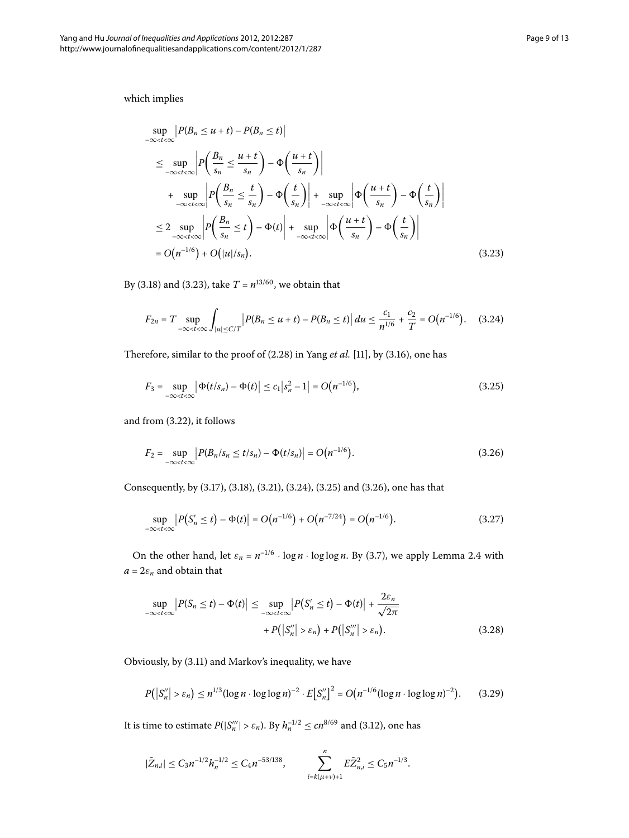<span id="page-8-0"></span>which implies

$$
\sup_{-\infty < t < \infty} \left| P(B_n \le u + t) - P(B_n \le t) \right|
$$
\n
$$
\le \sup_{-\infty < t < \infty} \left| P\left(\frac{B_n}{s_n} \le \frac{u+t}{s_n}\right) - \Phi\left(\frac{u+t}{s_n}\right) \right|
$$
\n
$$
+ \sup_{-\infty < t < \infty} \left| P\left(\frac{B_n}{s_n} \le \frac{t}{s_n}\right) - \Phi\left(\frac{t}{s_n}\right) \right| + \sup_{-\infty < t < \infty} \left| \Phi\left(\frac{u+t}{s_n}\right) - \Phi\left(\frac{t}{s_n}\right) \right|
$$
\n
$$
\le 2 \sup_{-\infty < t < \infty} \left| P\left(\frac{B_n}{s_n} \le t \right) - \Phi(t) \right| + \sup_{-\infty < t < \infty} \left| \Phi\left(\frac{u+t}{s_n}\right) - \Phi\left(\frac{t}{s_n}\right) \right|
$$
\n
$$
= O(n^{-1/6}) + O(|u|/s_n). \tag{3.23}
$$

By (3[.](#page-8-0)18) and (3.23), take  $T = n^{13/60}$ , we obtain that

<span id="page-8-2"></span><span id="page-8-1"></span>
$$
F_{2n} = T \sup_{-\infty < t < \infty} \int_{|u| \le C/T} \left| P(B_n \le u + t) - P(B_n \le t) \right| du \le \frac{c_1}{n^{1/6}} + \frac{c_2}{T} = O\left(n^{-1/6}\right). \tag{3.24}
$$

Therefore, similar to the proof of (2.28) in Yang *et al.* [11], by (3.16), one has

<span id="page-8-3"></span>
$$
F_3 = \sup_{-\infty < t < \infty} \left| \Phi(t/s_n) - \Phi(t) \right| \leq c_1 \left| s_n^2 - 1 \right| = O\big(n^{-1/6}\big),\tag{3.25}
$$

and from (3.22), it follows

<span id="page-8-4"></span>
$$
F_2 = \sup_{-\infty < t < \infty} \left| P(B_n / s_n \le t / s_n) - \Phi(t / s_n) \right| = O\big(n^{-1/6}\big). \tag{3.26}
$$

<span id="page-8-5"></span>Consequently, by (3[.](#page-7-4)17), (3.18), (3.21), (3.24), (3.25) and (3.26), one has that

$$
\sup_{-\infty < t < \infty} \left| P(S'_n \le t) - \Phi(t) \right| = O\big(n^{-1/6}\big) + O\big(n^{-7/24}\big) = O\big(n^{-1/6}\big). \tag{3.27}
$$

On the other hand, let  $\varepsilon_n = n^{-1/6} \cdot \log n \cdot \log \log n$ [.](#page-3-0) By (3.7), we apply Lemma 2.4 with  $a = 2\varepsilon_n$  and obtain that

<span id="page-8-6"></span>
$$
\sup_{-\infty < t < \infty} \left| P(S_n \le t) - \Phi(t) \right| \le \sup_{-\infty < t < \infty} \left| P(S'_n \le t) - \Phi(t) \right| + \frac{2\varepsilon_n}{\sqrt{2\pi}} + P\big( |S''_n| > \varepsilon_n \big) + P\big( |S''_n| > \varepsilon_n \big).
$$
\n(3.28)

Obviously, by (3.11) and Markov's inequality, we have

$$
P(|S_n''| > \varepsilon_n) \le n^{1/3} (\log n \cdot \log \log n)^{-2} \cdot E[S_n'']^2 = O(n^{-1/6} (\log n \cdot \log \log n)^{-2}).
$$
 (3.29)

It is time to estimate  $P(|S''_n| > \varepsilon_n)$ . By  $h_n^{-1/2} \le cn^{8/69}$  and (3.12), one has

$$
|\tilde{Z}_{n,i}| \leq C_3 n^{-1/2} h_n^{-1/2} \leq C_4 n^{-53/138}, \qquad \sum_{i=k(\mu+\nu)+1}^n E\tilde{Z}_{n,i}^2 \leq C_5 n^{-1/3}.
$$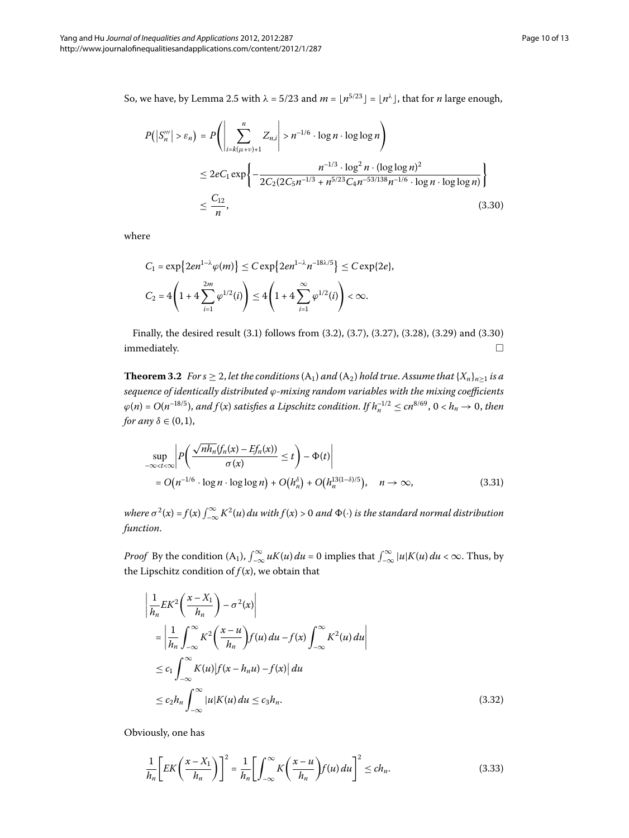<span id="page-9-0"></span>So, we have, by Lemma 2[.](#page-4-8)5 with  $\lambda = 5/23$  and  $m = \lfloor n^{5/23} \rfloor = \lfloor n^{\lambda} \rfloor$ , that for *n* large enough,

$$
P(|S_n'''| > \varepsilon_n) = P\left(\left|\sum_{i=k(\mu+\nu)+1}^n Z_{n,i}\right| > n^{-1/6} \cdot \log n \cdot \log \log n\right)
$$
  
\n
$$
\leq 2eC_1 \exp\left\{-\frac{n^{-1/3} \cdot \log^2 n \cdot (\log \log n)^2}{2C_2(2C_5 n^{-1/3} + n^{5/23}C_4 n^{-53/138} n^{-1/6} \cdot \log n \cdot \log \log n)}\right\}
$$
  
\n
$$
\leq \frac{C_{12}}{n},
$$
\n(3.30)

where

<span id="page-9-4"></span>
$$
C_1 = \exp\{2en^{1-\lambda}\varphi(m)\} \le C \exp\{2en^{1-\lambda}n^{-18\lambda/5}\} \le C \exp\{2e\},
$$
  

$$
C_2 = 4\left(1 + 4\sum_{i=1}^{2m}\varphi^{1/2}(i)\right) \le 4\left(1 + 4\sum_{i=1}^{\infty}\varphi^{1/2}(i)\right) < \infty.
$$

Finally, the desired result (3[.](#page-4-1)1) follows from (3.2), (3.7), (3.27), (3.28), (3.29) and (3.30) immediately.  $\hfill \square$ 

<span id="page-9-3"></span>**Theorem 3.2** For  $s \geq 2$ , let the conditions  $(A_1)$  and  $(A_2)$  hold true. Assume that  $\{X_n\}_{n\geq 1}$  is a *sequence of identically distributed ϕ-mixing random variables with the mixing coefficients*  $\varphi(n) = O(n^{-18/5})$ , and  $f(x)$  satisfies a Lipschitz condition. If  $h_n^{-1/2} \le cn^{8/69}$ ,  $0 < h_n \to 0$ , then *for any*  $\delta \in (0, 1)$ ,

$$
\sup_{-\infty < t < \infty} \left| P\left( \frac{\sqrt{n h_n} (f_n(x) - Ef_n(x))}{\sigma(x)} \le t \right) - \Phi(t) \right|
$$
  
=  $O(n^{-1/6} \cdot \log n \cdot \log \log n) + O(h_n^{\delta}) + O(h_n^{13(1-\delta)/5}), \quad n \to \infty,$  (3.31)

<span id="page-9-1"></span>*where*  $\sigma^2(x) = f(x) \int_{-\infty}^{\infty} K^2(u) du$  with  $f(x) > 0$  and  $\Phi(\cdot)$  is the standard normal distribution *function*.

*Proof* By the condition  $(A_1)$ ,  $\int_{-\infty}^{\infty} uK(u) du = 0$  implies that  $\int_{-\infty}^{\infty} |u|K(u) du < \infty$ . Thus, by the Lipschitz condition of  $f(x)$ , we obtain that

<span id="page-9-2"></span>
$$
\left| \frac{1}{h_n} E K^2 \left( \frac{x - X_1}{h_n} \right) - \sigma^2(x) \right|
$$
\n
$$
= \left| \frac{1}{h_n} \int_{-\infty}^{\infty} K^2 \left( \frac{x - u}{h_n} \right) f(u) du - f(x) \int_{-\infty}^{\infty} K^2(u) du \right|
$$
\n
$$
\leq c_1 \int_{-\infty}^{\infty} K(u) |f(x - h_n u) - f(x)| du
$$
\n
$$
\leq c_2 h_n \int_{-\infty}^{\infty} |u| K(u) du \leq c_3 h_n. \tag{3.32}
$$

Obviously, one has

$$
\frac{1}{h_n}\bigg[EK\bigg(\frac{x-X_1}{h_n}\bigg)\bigg]^2 = \frac{1}{h_n}\bigg[\int_{-\infty}^{\infty} K\bigg(\frac{x-u}{h_n}\bigg)f(u) du\bigg]^2 \le ch_n.
$$
\n(3.33)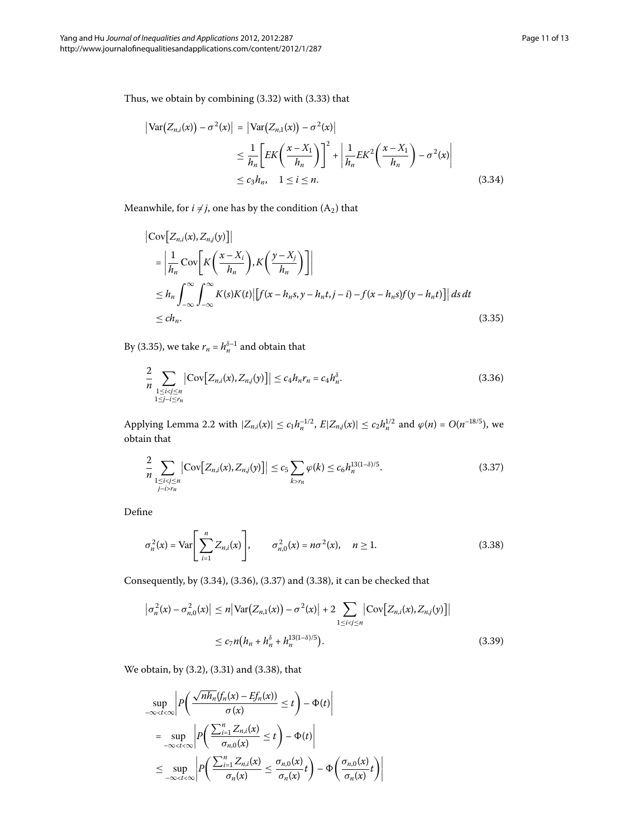<span id="page-10-1"></span><span id="page-10-0"></span>Thus, we obtain by combining  $(3.32)$  with  $(3.33)$  that

$$
\begin{aligned} \left| \text{Var}\big(Z_{n,i}(x)\big) - \sigma^2(x) \right| &= \left| \text{Var}\big(Z_{n,1}(x)\big) - \sigma^2(x) \right| \\ &\le \frac{1}{h_n} \bigg[ EK\bigg(\frac{x - X_1}{h_n}\bigg) \bigg]^2 + \left| \frac{1}{h_n} EK^2\bigg(\frac{x - X_1}{h_n}\bigg) - \sigma^2(x) \right| \\ &\le c_3 h_n, \quad 1 \le i \le n. \end{aligned} \tag{3.34}
$$

Meanwhile, for  $i \neq j$ , one has by the condition  $(A_2)$  that

<span id="page-10-2"></span>
$$
\begin{aligned} \left| \text{Cov} \left[ Z_{n,i}(x), Z_{n,j}(y) \right] \right| \\ &= \left| \frac{1}{h_n} \text{Cov} \left[ K \left( \frac{x - X_i}{h_n} \right), K \left( \frac{y - X_j}{h_n} \right) \right] \right| \\ &\leq h_n \int_{-\infty}^{\infty} \int_{-\infty}^{\infty} K(s) K(t) \left| \left[ f(x - h_n s, y - h_n t, j - i) - f(x - h_n s) f(y - h_n t) \right] \right| ds \, dt \\ &\leq ch_n. \end{aligned} \tag{3.35}
$$

By (3.35), we take  $r_n = h_n^{\delta-1}$  and obtain that

<span id="page-10-3"></span>
$$
\frac{2}{n} \sum_{\substack{1 \le i < j \le n \\ 1 \le j - i \le r_n}} \left| \text{Cov}\big[ Z_{n,i}(x), Z_{n,j}(y) \big] \right| \le c_4 h_n r_n = c_4 h_n^{\delta}.
$$
\n(3.36)

Applying Lemma 2[.](#page-3-1)2 with  $|Z_{n,i}(x)| \le c_1 h_n^{-1/2}$ ,  $E|Z_{n,j}(x)| \le c_2 h_n^{1/2}$  and  $\varphi(n) = O(n^{-18/5})$ , we obtain that

<span id="page-10-4"></span>
$$
\frac{2}{n} \sum_{\substack{1 \le i < j \le n \\ j - i > r_n}} |\text{Cov}[Z_{n,i}(x), Z_{n,j}(y)]| \le c_5 \sum_{k > r_n} \varphi(k) \le c_6 h_n^{13(1-\delta)/5}.
$$
 (3.37)

<span id="page-10-5"></span>Define

$$
\sigma_n^2(x) = \text{Var}\Bigg[\sum_{i=1}^n Z_{n,i}(x)\Bigg], \qquad \sigma_{n,0}^2(x) = n\sigma^2(x), \quad n \ge 1. \tag{3.38}
$$

<span id="page-10-6"></span>Consequently, by  $(3.34)$  $(3.34)$  $(3.34)$ ,  $(3.36)$ ,  $(3.37)$  and  $(3.38)$ , it can be checked that

$$
\left| \sigma_n^2(x) - \sigma_{n,0}^2(x) \right| \le n \left| \text{Var}\big(Z_{n,1}(x)\big) - \sigma^2(x) \right| + 2 \sum_{1 \le i < j \le n} \left| \text{Cov}\big[Z_{n,i}(x), Z_{n,j}(y)\big] \right|
$$
  

$$
\le c_7 n \big(h_n + h_n^{\delta} + h_n^{13(1-\delta)/5}\big).
$$
 (3.39)

We obtain, by  $(3.2)$ ,  $(3.31)$  and  $(3.38)$ , that

$$
\sup_{-\infty < t < \infty} \left| P\left(\frac{\sqrt{nh_n}(f_n(x) - Ef_n(x))}{\sigma(x)} \le t\right) - \Phi(t) \right|
$$
\n
$$
= \sup_{-\infty < t < \infty} \left| P\left(\frac{\sum_{i=1}^n Z_{n,i}(x)}{\sigma_{n,0}(x)} \le t\right) - \Phi(t) \right|
$$
\n
$$
\le \sup_{-\infty < t < \infty} \left| P\left(\frac{\sum_{i=1}^n Z_{n,i}(x)}{\sigma_n(x)} \le \frac{\sigma_{n,0}(x)}{\sigma_n(x)} t\right) - \Phi\left(\frac{\sigma_{n,0}(x)}{\sigma_n(x)} t\right) \right|
$$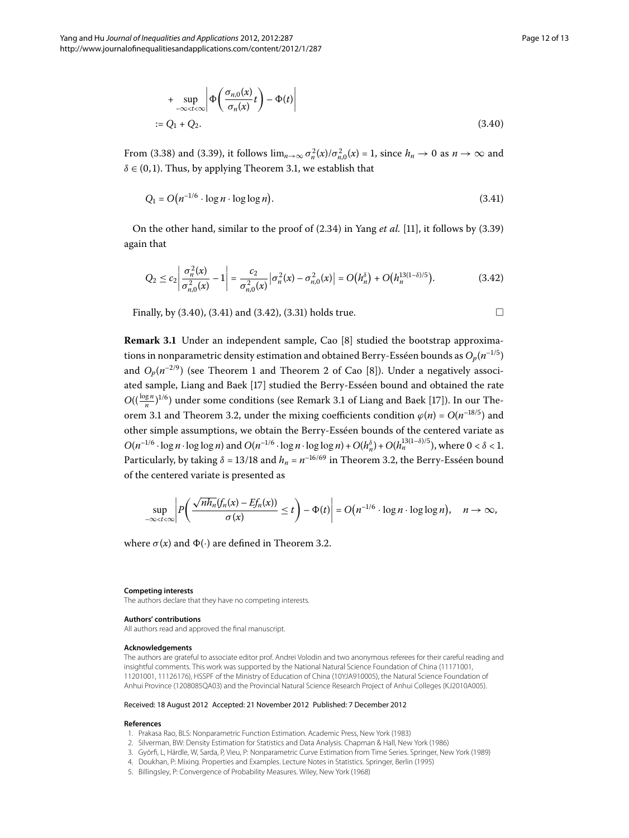<span id="page-11-5"></span>
$$
+\sup_{-\infty < t < \infty} \left| \Phi\left(\frac{\sigma_{n,0}(x)}{\sigma_n(x)}t\right) - \Phi(t) \right|
$$
  
:= Q<sub>1</sub> + Q<sub>2</sub>. (3.40)

From (3.38) and (3.39), it follows  $\lim_{n\to\infty} \sigma_n^2(x)/\sigma_{n,0}^2(x) = 1$ , since  $h_n \to 0$  as  $n \to \infty$  and  $\delta \in (0, 1)$ [.](#page-4-9) Thus, by applying Theorem 3.1, we establish that

<span id="page-11-6"></span>
$$
Q_1 = O\big(n^{-1/6} \cdot \log n \cdot \log \log n\big). \tag{3.41}
$$

<span id="page-11-7"></span>On the other hand, similar to the proof of  $(2.34)$  $(2.34)$  $(2.34)$  in Yang *et al.* [\[](#page-12-5)11], it follows by  $(3.39)$ again that

$$
Q_2 \le c_2 \left| \frac{\sigma_n^2(x)}{\sigma_{n,0}^2(x)} - 1 \right| = \frac{c_2}{\sigma_{n,0}^2(x)} \left| \sigma_n^2(x) - \sigma_{n,0}^2(x) \right| = O\big(h_n^{\delta}\big) + O\big(h_n^{13(1-\delta)/5}\big).
$$
 (3.42)

Finally, by  $(3.40)$  $(3.40)$  $(3.40)$ ,  $(3.41)$  and  $(3.42)$ ,  $(3.31)$  holds true.

**Remark 3.1** Under an independent sample, Cao [\[](#page-12-2)8] studied the bootstrap approximations in nonparametric density estimation and obtained Berry-Esséen bounds as  $O_p(n^{-1/5})$ and  $O_p(n^{-2/9})$  (see Theorem 1 and Theorem 2 of Cao [8[\]](#page-12-2)). Under a negatively associated sample, Liang and Baek [17] studied the Berry-Esséen bound and obtained the rate  $O((\frac{\log n}{n})^{1/6})$  under some conditions (see Remark 3[.](#page-11-7)1 of Liang and Baek [17]). In our The-orem 3[.](#page-9-4)1 and Theorem 3.2, under the mixing coefficients condition  $\varphi(n) = O(n^{-18/5})$  and other simple assumptions, we obtain the Berry-Esséen bounds of the centered variate as  $O(n^{-1/6} \cdot \log n \cdot \log \log n)$  and  $O(n^{-1/6} \cdot \log n \cdot \log \log n) + O(h_n^{\delta}) + O(h_n^{13(1-\delta)/5})$ , where  $0 < \delta < 1$ . Particularly, by taking  $\delta$  = 13/18 and  $h_n = n^{-16/69}$  in Theorem 3.2, the Berry-Esséen bound of the centered variate is presented as

$$
\sup_{-\infty < t < \infty} \left| P\left(\frac{\sqrt{n h_n(f_n(x) - Ef_n(x))}}{\sigma(x)} \le t \right) - \Phi(t) \right| = O\left(n^{-1/6} \cdot \log n \cdot \log \log n\right), \quad n \to \infty,
$$

where  $\sigma(x)$  and  $\Phi(\cdot)$  are defined in Theorem 3.2.

#### **Competing interests**

The authors declare that they have no competing interests.

#### **Authors' contributions**

<span id="page-11-0"></span>All authors read and approved the final manuscript.

#### <span id="page-11-1"></span>**Acknowledgements**

<span id="page-11-4"></span><span id="page-11-3"></span><span id="page-11-2"></span>The authors are grateful to associate editor prof. Andrei Volodin and two anonymous referees for their careful reading and insightful comments. This work was supported by the National Natural Science Foundation of China (11171001, 11201001, 11126176), HSSPF of the Ministry of Education of China (10YJA910005), the Natural Science Foundation of Anhui Province (1208085QA03) and the Provincial Natural Science Research Project of Anhui Colleges (KJ2010A005).

#### Received: 18 August 2012 Accepted: 21 November 2012 Published: 7 December 2012

#### **References**

- 1. Prakasa Rao, BLS: Nonparametric Function Estimation. Academic Press, New York (1983)
- 2. Silverman, BW: Density Estimation for Statistics and Data Analysis. Chapman & Hall, New York (1986)
- 3. Györfi, L, Härdle, W, Sarda, P, Vieu, P: Nonparametric Curve Estimation from Time Series. Springer, New York (1989)
- 4. Doukhan, P: Mixing. Properties and Examples. Lecture Notes in Statistics. Springer, Berlin (1995)
- 5. Billingsley, P: Convergence of Probability Measures. Wiley, New York (1968)